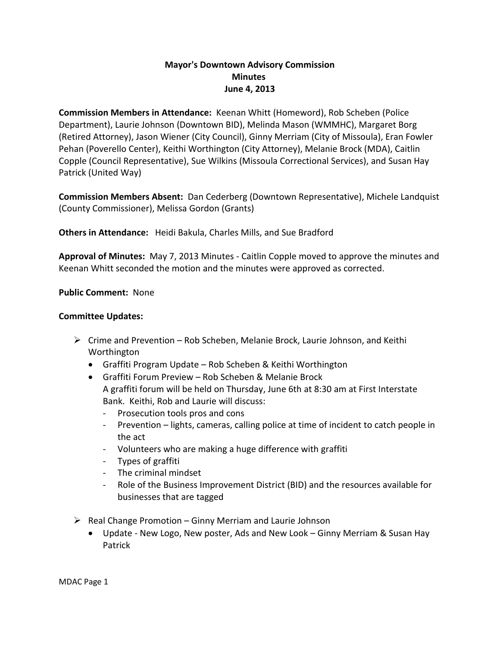## **Mayor's Downtown Advisory Commission Minutes June 4, 2013**

**Commission Members in Attendance:** Keenan Whitt (Homeword), Rob Scheben (Police Department), Laurie Johnson (Downtown BID), Melinda Mason (WMMHC), Margaret Borg (Retired Attorney), Jason Wiener (City Council), Ginny Merriam (City of Missoula), Eran Fowler Pehan (Poverello Center), Keithi Worthington (City Attorney), Melanie Brock (MDA), Caitlin Copple (Council Representative), Sue Wilkins (Missoula Correctional Services), and Susan Hay Patrick (United Way)

**Commission Members Absent:** Dan Cederberg (Downtown Representative), Michele Landquist (County Commissioner), Melissa Gordon (Grants)

**Others in Attendance:** Heidi Bakula, Charles Mills, and Sue Bradford

**Approval of Minutes:** May 7, 2013 Minutes - Caitlin Copple moved to approve the minutes and Keenan Whitt seconded the motion and the minutes were approved as corrected.

**Public Comment:** None

## **Committee Updates:**

- $\triangleright$  Crime and Prevention Rob Scheben, Melanie Brock, Laurie Johnson, and Keithi Worthington
	- Graffiti Program Update Rob Scheben & Keithi Worthington
	- Graffiti Forum Preview Rob Scheben & Melanie Brock A graffiti forum will be held on Thursday, June 6th at 8:30 am at First Interstate Bank. Keithi, Rob and Laurie will discuss:
		- Prosecution tools pros and cons
		- Prevention lights, cameras, calling police at time of incident to catch people in the act
		- Volunteers who are making a huge difference with graffiti
		- Types of graffiti
		- The criminal mindset
		- Role of the Business Improvement District (BID) and the resources available for businesses that are tagged
- $\triangleright$  Real Change Promotion Ginny Merriam and Laurie Johnson
	- Update New Logo, New poster, Ads and New Look Ginny Merriam & Susan Hay Patrick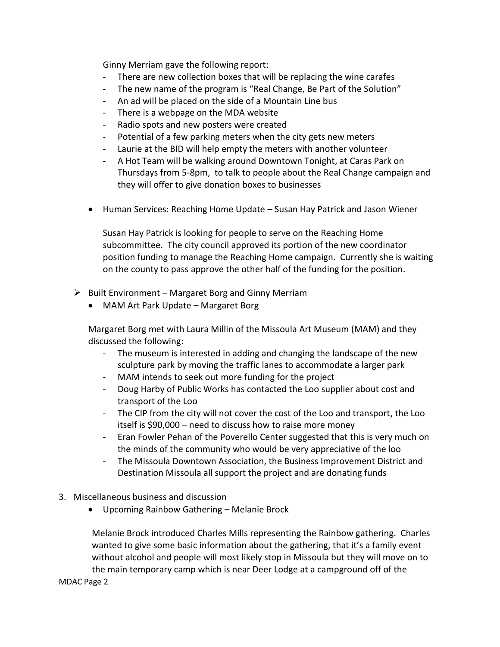Ginny Merriam gave the following report:

- There are new collection boxes that will be replacing the wine carafes
- The new name of the program is "Real Change, Be Part of the Solution"
- An ad will be placed on the side of a Mountain Line bus
- There is a webpage on the MDA website
- Radio spots and new posters were created
- Potential of a few parking meters when the city gets new meters
- Laurie at the BID will help empty the meters with another volunteer
- A Hot Team will be walking around Downtown Tonight, at Caras Park on Thursdays from 5-8pm, to talk to people about the Real Change campaign and they will offer to give donation boxes to businesses
- Human Services: Reaching Home Update Susan Hay Patrick and Jason Wiener

Susan Hay Patrick is looking for people to serve on the Reaching Home subcommittee. The city council approved its portion of the new coordinator position funding to manage the Reaching Home campaign. Currently she is waiting on the county to pass approve the other half of the funding for the position.

- $\triangleright$  Built Environment Margaret Borg and Ginny Merriam
	- MAM Art Park Update Margaret Borg

Margaret Borg met with Laura Millin of the Missoula Art Museum (MAM) and they discussed the following:

- The museum is interested in adding and changing the landscape of the new sculpture park by moving the traffic lanes to accommodate a larger park
- MAM intends to seek out more funding for the project
- Doug Harby of Public Works has contacted the Loo supplier about cost and transport of the Loo
- The CIP from the city will not cover the cost of the Loo and transport, the Loo itself is \$90,000 – need to discuss how to raise more money
- Eran Fowler Pehan of the Poverello Center suggested that this is very much on the minds of the community who would be very appreciative of the loo
- The Missoula Downtown Association, the Business Improvement District and Destination Missoula all support the project and are donating funds
- 3. Miscellaneous business and discussion
	- Upcoming Rainbow Gathering Melanie Brock

Melanie Brock introduced Charles Mills representing the Rainbow gathering. Charles wanted to give some basic information about the gathering, that it's a family event without alcohol and people will most likely stop in Missoula but they will move on to the main temporary camp which is near Deer Lodge at a campground off of the